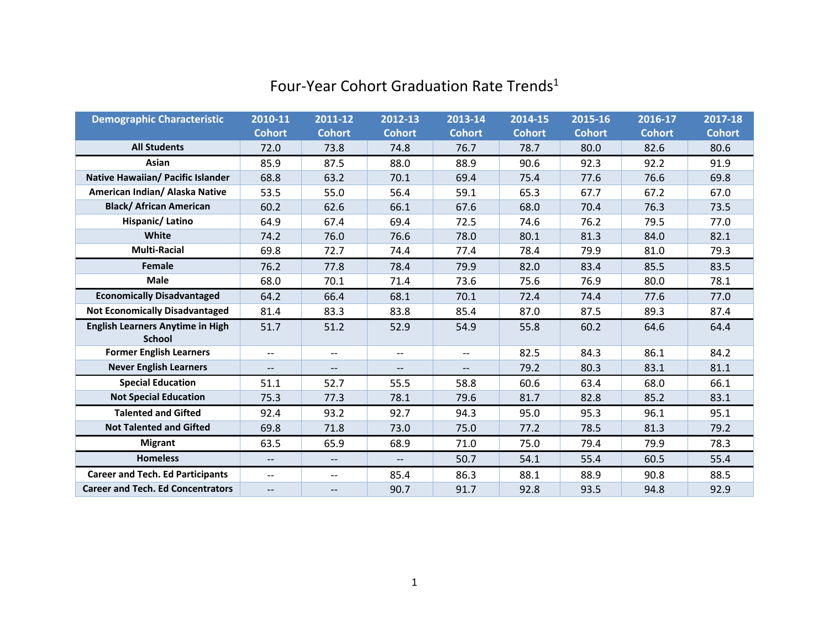| <b>Demographic Characteristic</b>        | 2010-11                       | 2011-12                  | 2012-13                  | 2013-14       | 2014-15       | 2015-16       | 2016-17       | 2017-18       |
|------------------------------------------|-------------------------------|--------------------------|--------------------------|---------------|---------------|---------------|---------------|---------------|
|                                          | <b>Cohort</b>                 | <b>Cohort</b>            | <b>Cohort</b>            | <b>Cohort</b> | <b>Cohort</b> | <b>Cohort</b> | <b>Cohort</b> | <b>Cohort</b> |
| <b>All Students</b>                      | 72.0                          | 73.8                     | 74.8                     | 76.7          | 78.7          | 80.0          | 82.6          | 80.6          |
| Asian                                    | 85.9                          | 87.5                     | 88.0                     | 88.9          | 90.6          | 92.3          | 92.2          | 91.9          |
| Native Hawaiian/ Pacific Islander        | 68.8                          | 63.2                     | 70.1                     | 69.4          | 75.4          | 77.6          | 76.6          | 69.8          |
| American Indian/ Alaska Native           | 53.5                          | 55.0                     | 56.4                     | 59.1          | 65.3          | 67.7          | 67.2          | 67.0          |
| <b>Black/ African American</b>           | 60.2                          | 62.6                     | 66.1                     | 67.6          | 68.0          | 70.4          | 76.3          | 73.5          |
| Hispanic/Latino                          | 64.9                          | 67.4                     | 69.4                     | 72.5          | 74.6          | 76.2          | 79.5          | 77.0          |
| White                                    | 74.2                          | 76.0                     | 76.6                     | 78.0          | 80.1          | 81.3          | 84.0          | 82.1          |
| <b>Multi-Racial</b>                      | 69.8                          | 72.7                     | 74.4                     | 77.4          | 78.4          | 79.9          | 81.0          | 79.3          |
| Female                                   | 76.2                          | 77.8                     | 78.4                     | 79.9          | 82.0          | 83.4          | 85.5          | 83.5          |
| <b>Male</b>                              | 68.0                          | 70.1                     | 71.4                     | 73.6          | 75.6          | 76.9          | 80.0          | 78.1          |
| <b>Economically Disadvantaged</b>        | 64.2                          | 66.4                     | 68.1                     | 70.1          | 72.4          | 74.4          | 77.6          | 77.0          |
| <b>Not Economically Disadvantaged</b>    | 81.4                          | 83.3                     | 83.8                     | 85.4          | 87.0          | 87.5          | 89.3          | 87.4          |
| <b>English Learners Anytime in High</b>  | 51.7                          | 51.2                     | 52.9                     | 54.9          | 55.8          | 60.2          | 64.6          | 64.4          |
| <b>School</b>                            |                               |                          |                          |               |               |               |               |               |
| <b>Former English Learners</b>           | $\hspace{0.05cm} \textbf{--}$ | $-\!$                    | $\overline{\phantom{m}}$ | --            | 82.5          | 84.3          | 86.1          | 84.2          |
| <b>Never English Learners</b>            | $\overline{\phantom{a}}$      | $\qquad \qquad -$        |                          | $-$           | 79.2          | 80.3          | 83.1          | 81.1          |
| <b>Special Education</b>                 | 51.1                          | 52.7                     | 55.5                     | 58.8          | 60.6          | 63.4          | 68.0          | 66.1          |
| <b>Not Special Education</b>             | 75.3                          | 77.3                     | 78.1                     | 79.6          | 81.7          | 82.8          | 85.2          | 83.1          |
| <b>Talented and Gifted</b>               | 92.4                          | 93.2                     | 92.7                     | 94.3          | 95.0          | 95.3          | 96.1          | 95.1          |
| <b>Not Talented and Gifted</b>           | 69.8                          | 71.8                     | 73.0                     | 75.0          | 77.2          | 78.5          | 81.3          | 79.2          |
| <b>Migrant</b>                           | 63.5                          | 65.9                     | 68.9                     | 71.0          | 75.0          | 79.4          | 79.9          | 78.3          |
| <b>Homeless</b>                          | $\overline{\phantom{a}}$      | $\overline{\phantom{a}}$ | $\overline{\phantom{a}}$ | 50.7          | 54.1          | 55.4          | 60.5          | 55.4          |
| <b>Career and Tech. Ed Participants</b>  | $\overline{\phantom{a}}$      | $\overline{\phantom{a}}$ | 85.4                     | 86.3          | 88.1          | 88.9          | 90.8          | 88.5          |
| <b>Career and Tech. Ed Concentrators</b> | $\overline{\phantom{a}}$      | $\qquad \qquad -$        | 90.7                     | 91.7          | 92.8          | 93.5          | 94.8          | 92.9          |

## Four-Year Cohort Graduation Rate Trends<sup>1</sup>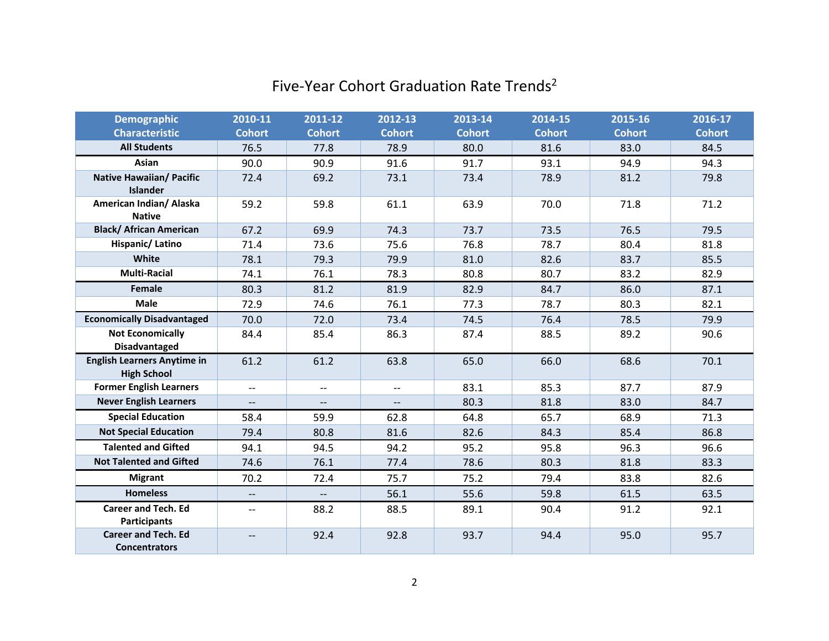| <b>Demographic</b>                                       | 2010-11                  | 2011-12                  | 2012-13           | 2013-14       | 2014-15       | 2015-16       | 2016-17       |
|----------------------------------------------------------|--------------------------|--------------------------|-------------------|---------------|---------------|---------------|---------------|
| <b>Characteristic</b>                                    | <b>Cohort</b>            | <b>Cohort</b>            | <b>Cohort</b>     | <b>Cohort</b> | <b>Cohort</b> | <b>Cohort</b> | <b>Cohort</b> |
| <b>All Students</b>                                      | 76.5                     | 77.8                     | 78.9              | 80.0          | 81.6          | 83.0          | 84.5          |
| Asian                                                    | 90.0                     | 90.9                     | 91.6              | 91.7          | 93.1          | 94.9          | 94.3          |
| <b>Native Hawaiian/ Pacific</b><br><b>Islander</b>       | 72.4                     | 69.2                     | 73.1              | 73.4          | 78.9          | 81.2          | 79.8          |
| American Indian/ Alaska<br><b>Native</b>                 | 59.2                     | 59.8                     | 61.1              | 63.9          | 70.0          | 71.8          | 71.2          |
| <b>Black/ African American</b>                           | 67.2                     | 69.9                     | 74.3              | 73.7          | 73.5          | 76.5          | 79.5          |
| Hispanic/Latino                                          | 71.4                     | 73.6                     | 75.6              | 76.8          | 78.7          | 80.4          | 81.8          |
| White                                                    | 78.1                     | 79.3                     | 79.9              | 81.0          | 82.6          | 83.7          | 85.5          |
| <b>Multi-Racial</b>                                      | 74.1                     | 76.1                     | 78.3              | 80.8          | 80.7          | 83.2          | 82.9          |
| Female                                                   | 80.3                     | 81.2                     | 81.9              | 82.9          | 84.7          | 86.0          | 87.1          |
| <b>Male</b>                                              | 72.9                     | 74.6                     | 76.1              | 77.3          | 78.7          | 80.3          | 82.1          |
| <b>Economically Disadvantaged</b>                        | 70.0                     | 72.0                     | 73.4              | 74.5          | 76.4          | 78.5          | 79.9          |
| <b>Not Economically</b><br><b>Disadvantaged</b>          | 84.4                     | 85.4                     | 86.3              | 87.4          | 88.5          | 89.2          | 90.6          |
| <b>English Learners Anytime in</b><br><b>High School</b> | 61.2                     | 61.2                     | 63.8              | 65.0          | 66.0          | 68.6          | 70.1          |
| <b>Former English Learners</b>                           | $\overline{\phantom{a}}$ | $\overline{\phantom{a}}$ | $-$               | 83.1          | 85.3          | 87.7          | 87.9          |
| <b>Never English Learners</b>                            | $\overline{\phantom{a}}$ | $\overline{\phantom{0}}$ | $\qquad \qquad -$ | 80.3          | 81.8          | 83.0          | 84.7          |
| <b>Special Education</b>                                 | 58.4                     | 59.9                     | 62.8              | 64.8          | 65.7          | 68.9          | 71.3          |
| <b>Not Special Education</b>                             | 79.4                     | 80.8                     | 81.6              | 82.6          | 84.3          | 85.4          | 86.8          |
| <b>Talented and Gifted</b>                               | 94.1                     | 94.5                     | 94.2              | 95.2          | 95.8          | 96.3          | 96.6          |
| <b>Not Talented and Gifted</b>                           | 74.6                     | 76.1                     | 77.4              | 78.6          | 80.3          | 81.8          | 83.3          |
| <b>Migrant</b>                                           | 70.2                     | 72.4                     | 75.7              | 75.2          | 79.4          | 83.8          | 82.6          |
| <b>Homeless</b>                                          | $\overline{\phantom{a}}$ | 44                       | 56.1              | 55.6          | 59.8          | 61.5          | 63.5          |
| <b>Career and Tech. Ed</b><br><b>Participants</b>        | $\overline{\phantom{a}}$ | 88.2                     | 88.5              | 89.1          | 90.4          | 91.2          | 92.1          |
| <b>Career and Tech. Ed</b><br><b>Concentrators</b>       | $\overline{\phantom{a}}$ | 92.4                     | 92.8              | 93.7          | 94.4          | 95.0          | 95.7          |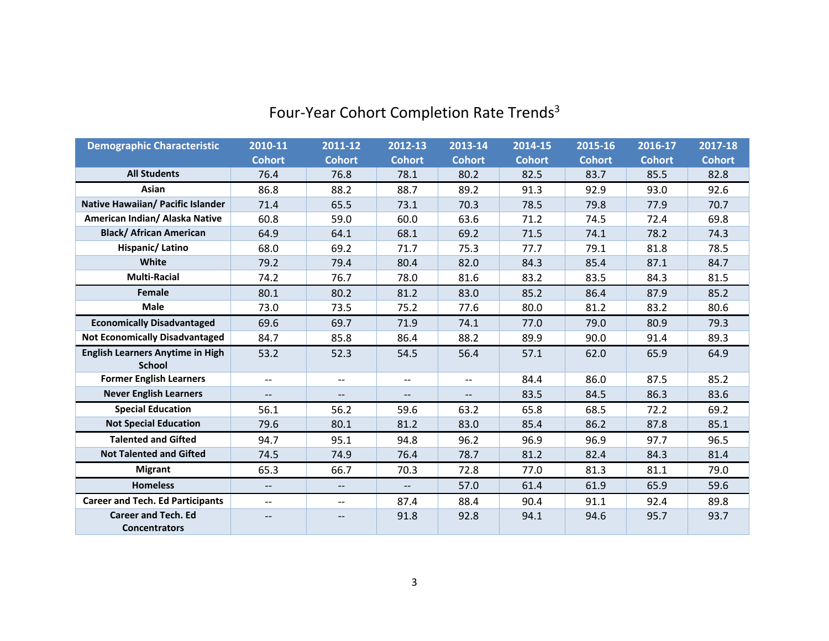| <b>Demographic Characteristic</b>                  | 2010-11                  | 2011-12                  | 2012-13                  | 2013-14       | 2014-15       | 2015-16       | 2016-17       | 2017-18       |
|----------------------------------------------------|--------------------------|--------------------------|--------------------------|---------------|---------------|---------------|---------------|---------------|
|                                                    | <b>Cohort</b>            | <b>Cohort</b>            | <b>Cohort</b>            | <b>Cohort</b> | <b>Cohort</b> | <b>Cohort</b> | <b>Cohort</b> | <b>Cohort</b> |
| <b>All Students</b>                                | 76.4                     | 76.8                     | 78.1                     | 80.2          | 82.5          | 83.7          | 85.5          | 82.8          |
| Asian                                              | 86.8                     | 88.2                     | 88.7                     | 89.2          | 91.3          | 92.9          | 93.0          | 92.6          |
| Native Hawaiian/ Pacific Islander                  | 71.4                     | 65.5                     | 73.1                     | 70.3          | 78.5          | 79.8          | 77.9          | 70.7          |
| American Indian/ Alaska Native                     | 60.8                     | 59.0                     | 60.0                     | 63.6          | 71.2          | 74.5          | 72.4          | 69.8          |
| <b>Black/ African American</b>                     | 64.9                     | 64.1                     | 68.1                     | 69.2          | 71.5          | 74.1          | 78.2          | 74.3          |
| Hispanic/Latino                                    | 68.0                     | 69.2                     | 71.7                     | 75.3          | 77.7          | 79.1          | 81.8          | 78.5          |
| White                                              | 79.2                     | 79.4                     | 80.4                     | 82.0          | 84.3          | 85.4          | 87.1          | 84.7          |
| <b>Multi-Racial</b>                                | 74.2                     | 76.7                     | 78.0                     | 81.6          | 83.2          | 83.5          | 84.3          | 81.5          |
| Female                                             | 80.1                     | 80.2                     | 81.2                     | 83.0          | 85.2          | 86.4          | 87.9          | 85.2          |
| <b>Male</b>                                        | 73.0                     | 73.5                     | 75.2                     | 77.6          | 80.0          | 81.2          | 83.2          | 80.6          |
| <b>Economically Disadvantaged</b>                  | 69.6                     | 69.7                     | 71.9                     | 74.1          | 77.0          | 79.0          | 80.9          | 79.3          |
| <b>Not Economically Disadvantaged</b>              | 84.7                     | 85.8                     | 86.4                     | 88.2          | 89.9          | 90.0          | 91.4          | 89.3          |
| <b>English Learners Anytime in High</b>            | 53.2                     | 52.3                     | 54.5                     | 56.4          | 57.1          | 62.0          | 65.9          | 64.9          |
| <b>School</b>                                      |                          |                          |                          |               |               |               |               |               |
| <b>Former English Learners</b>                     | $-$                      | $\overline{\phantom{a}}$ | $\overline{\phantom{a}}$ | $-$           | 84.4          | 86.0          | 87.5          | 85.2          |
| <b>Never English Learners</b>                      | $\overline{\phantom{a}}$ | $-\!$                    | $\overline{\phantom{a}}$ | $- -$         | 83.5          | 84.5          | 86.3          | 83.6          |
| <b>Special Education</b>                           | 56.1                     | 56.2                     | 59.6                     | 63.2          | 65.8          | 68.5          | 72.2          | 69.2          |
| <b>Not Special Education</b>                       | 79.6                     | 80.1                     | 81.2                     | 83.0          | 85.4          | 86.2          | 87.8          | 85.1          |
| <b>Talented and Gifted</b>                         | 94.7                     | 95.1                     | 94.8                     | 96.2          | 96.9          | 96.9          | 97.7          | 96.5          |
| <b>Not Talented and Gifted</b>                     | 74.5                     | 74.9                     | 76.4                     | 78.7          | 81.2          | 82.4          | 84.3          | 81.4          |
| <b>Migrant</b>                                     | 65.3                     | 66.7                     | 70.3                     | 72.8          | 77.0          | 81.3          | 81.1          | 79.0          |
| <b>Homeless</b>                                    | $\overline{\phantom{0}}$ | $\overline{\phantom{a}}$ | $\overline{\phantom{0}}$ | 57.0          | 61.4          | 61.9          | 65.9          | 59.6          |
| <b>Career and Tech. Ed Participants</b>            | $-$                      | $\overline{\phantom{a}}$ | 87.4                     | 88.4          | 90.4          | 91.1          | 92.4          | 89.8          |
| <b>Career and Tech. Ed</b><br><b>Concentrators</b> | $-$                      | $\qquad \qquad -$        | 91.8                     | 92.8          | 94.1          | 94.6          | 95.7          | 93.7          |

# Four-Year Cohort Completion Rate Trends<sup>3</sup>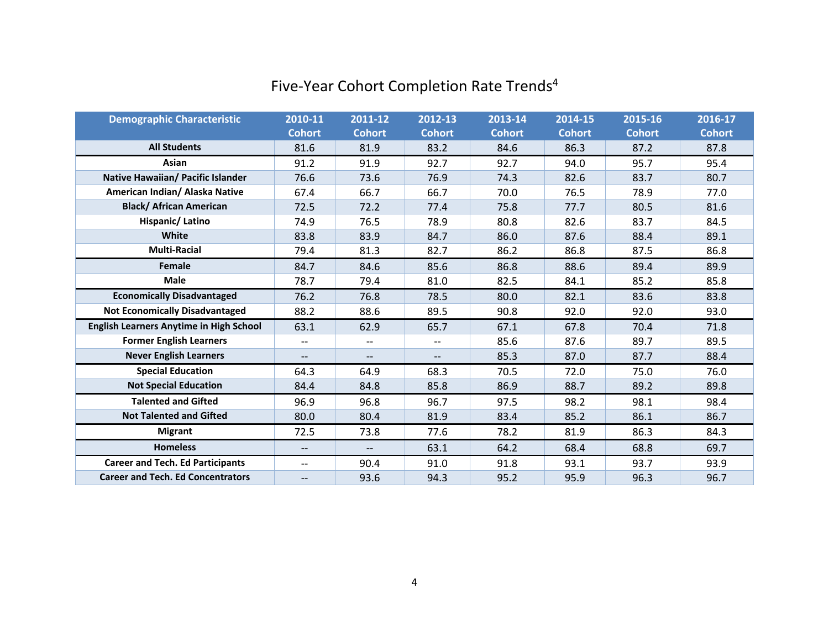## Five-Year Cohort Completion Rate Trends<sup>4</sup>

| <b>Demographic Characteristic</b>              | 2010-11                  | 2011-12                             | 2012-13                  | 2013-14       | 2014-15       | 2015-16       | 2016-17       |
|------------------------------------------------|--------------------------|-------------------------------------|--------------------------|---------------|---------------|---------------|---------------|
|                                                | <b>Cohort</b>            | <b>Cohort</b>                       | <b>Cohort</b>            | <b>Cohort</b> | <b>Cohort</b> | <b>Cohort</b> | <b>Cohort</b> |
| <b>All Students</b>                            | 81.6                     | 81.9                                | 83.2                     | 84.6          | 86.3          | 87.2          | 87.8          |
| Asian                                          | 91.2                     | 91.9                                | 92.7                     | 92.7          | 94.0          | 95.7          | 95.4          |
| Native Hawaiian/ Pacific Islander              | 76.6                     | 73.6                                | 76.9                     | 74.3          | 82.6          | 83.7          | 80.7          |
| American Indian/ Alaska Native                 | 67.4                     | 66.7                                | 66.7                     | 70.0          | 76.5          | 78.9          | 77.0          |
| <b>Black/ African American</b>                 | 72.5                     | 72.2                                | 77.4                     | 75.8          | 77.7          | 80.5          | 81.6          |
| Hispanic/Latino                                | 74.9                     | 76.5                                | 78.9                     | 80.8          | 82.6          | 83.7          | 84.5          |
| White                                          | 83.8                     | 83.9                                | 84.7                     | 86.0          | 87.6          | 88.4          | 89.1          |
| <b>Multi-Racial</b>                            | 79.4                     | 81.3                                | 82.7                     | 86.2          | 86.8          | 87.5          | 86.8          |
| <b>Female</b>                                  | 84.7                     | 84.6                                | 85.6                     | 86.8          | 88.6          | 89.4          | 89.9          |
| <b>Male</b>                                    | 78.7                     | 79.4                                | 81.0                     | 82.5          | 84.1          | 85.2          | 85.8          |
| <b>Economically Disadvantaged</b>              | 76.2                     | 76.8                                | 78.5                     | 80.0          | 82.1          | 83.6          | 83.8          |
| <b>Not Economically Disadvantaged</b>          | 88.2                     | 88.6                                | 89.5                     | 90.8          | 92.0          | 92.0          | 93.0          |
| <b>English Learners Anytime in High School</b> | 63.1                     | 62.9                                | 65.7                     | 67.1          | 67.8          | 70.4          | 71.8          |
| <b>Former English Learners</b>                 | $- -$                    | $\hspace{0.05cm}$ $\hspace{0.05cm}$ | $\overline{\phantom{m}}$ | 85.6          | 87.6          | 89.7          | 89.5          |
| <b>Never English Learners</b>                  | $\overline{\phantom{a}}$ | --                                  | $- -$                    | 85.3          | 87.0          | 87.7          | 88.4          |
| <b>Special Education</b>                       | 64.3                     | 64.9                                | 68.3                     | 70.5          | 72.0          | 75.0          | 76.0          |
| <b>Not Special Education</b>                   | 84.4                     | 84.8                                | 85.8                     | 86.9          | 88.7          | 89.2          | 89.8          |
| <b>Talented and Gifted</b>                     | 96.9                     | 96.8                                | 96.7                     | 97.5          | 98.2          | 98.1          | 98.4          |
| <b>Not Talented and Gifted</b>                 | 80.0                     | 80.4                                | 81.9                     | 83.4          | 85.2          | 86.1          | 86.7          |
| <b>Migrant</b>                                 | 72.5                     | 73.8                                | 77.6                     | 78.2          | 81.9          | 86.3          | 84.3          |
| <b>Homeless</b>                                | $\overline{\phantom{a}}$ | $\overline{\phantom{a}}$            | 63.1                     | 64.2          | 68.4          | 68.8          | 69.7          |
| <b>Career and Tech. Ed Participants</b>        | $- -$                    | 90.4                                | 91.0                     | 91.8          | 93.1          | 93.7          | 93.9          |
| <b>Career and Tech. Ed Concentrators</b>       | $\qquad \qquad -$        | 93.6                                | 94.3                     | 95.2          | 95.9          | 96.3          | 96.7          |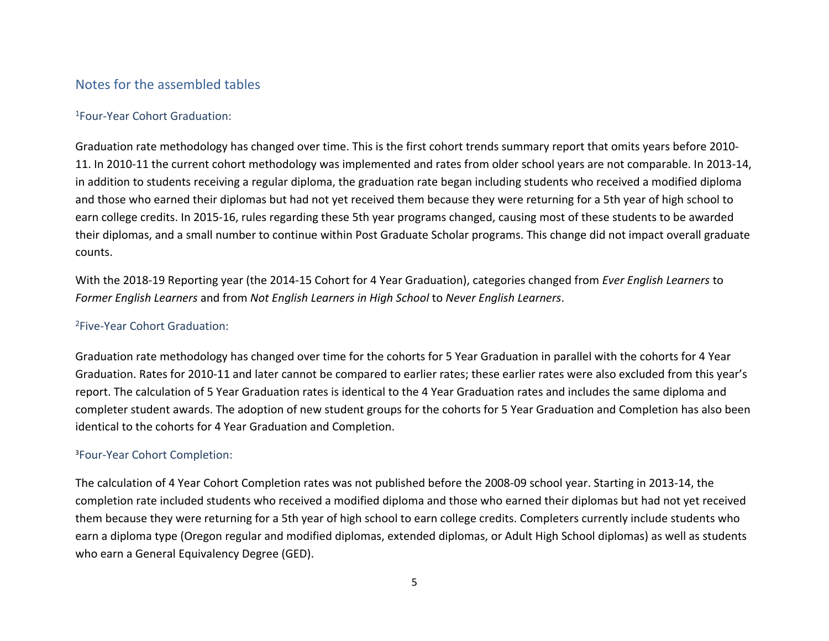### Notes for the assembled tables

#### <sup>1</sup>Four-Year Cohort Graduation:

Graduation rate methodology has changed over time. This is the first cohort trends summary report that omits years before 2010- 11. In 2010-11 the current cohort methodology was implemented and rates from older school years are not comparable. In 2013-14, in addition to students receiving a regular diploma, the graduation rate began including students who received a modified diploma and those who earned their diplomas but had not yet received them because they were returning for a 5th year of high school to earn college credits. In 2015-16, rules regarding these 5th year programs changed, causing most of these students to be awarded their diplomas, and a small number to continue within Post Graduate Scholar programs. This change did not impact overall graduate counts.

With the 2018-19 Reporting year (the 2014-15 Cohort for 4 Year Graduation), categories changed from *Ever English Learners* to *Former English Learners* and from *Not English Learners in High School* to *Never English Learners*.

#### <sup>2</sup>Five-Year Cohort Graduation:

Graduation rate methodology has changed over time for the cohorts for 5 Year Graduation in parallel with the cohorts for 4 Year Graduation. Rates for 2010-11 and later cannot be compared to earlier rates; these earlier rates were also excluded from this year's report. The calculation of 5 Year Graduation rates is identical to the 4 Year Graduation rates and includes the same diploma and completer student awards. The adoption of new student groups for the cohorts for 5 Year Graduation and Completion has also been identical to the cohorts for 4 Year Graduation and Completion.

#### <sup>3</sup>Four-Year Cohort Completion:

The calculation of 4 Year Cohort Completion rates was not published before the 2008-09 school year. Starting in 2013-14, the completion rate included students who received a modified diploma and those who earned their diplomas but had not yet received them because they were returning for a 5th year of high school to earn college credits. Completers currently include students who earn a diploma type (Oregon regular and modified diplomas, extended diplomas, or Adult High School diplomas) as well as students who earn a General Equivalency Degree (GED).